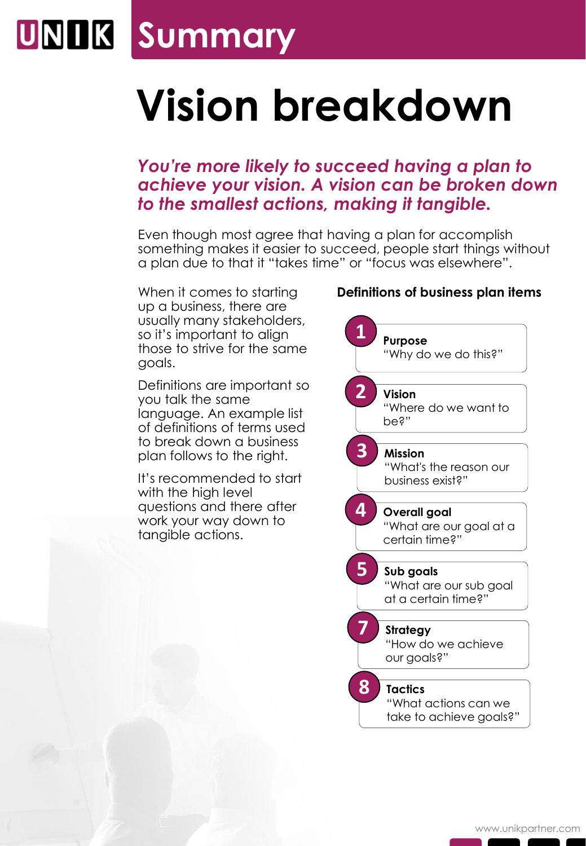### **Summary**

# **Vision breakdown**

### *You're more likely to succeed having a plan to achieve your vision. A vision can be broken down to the smallest actions, making it tangible.*

Even though most agree that having a plan for accomplish something makes it easier to succeed, people start things without a plan due to that it "takes time" or "focus was elsewhere".

When it comes to starting up a business, there are usually many stakeholders, so it's important to align those to strive for the same goals.

Definitions are important so you talk the same language. An example list of definitions of terms used to break down a business plan follows to the right.

It's recommended to start with the high level questions and there after work your way down to tangible actions.

#### **Definitions of business plan items**

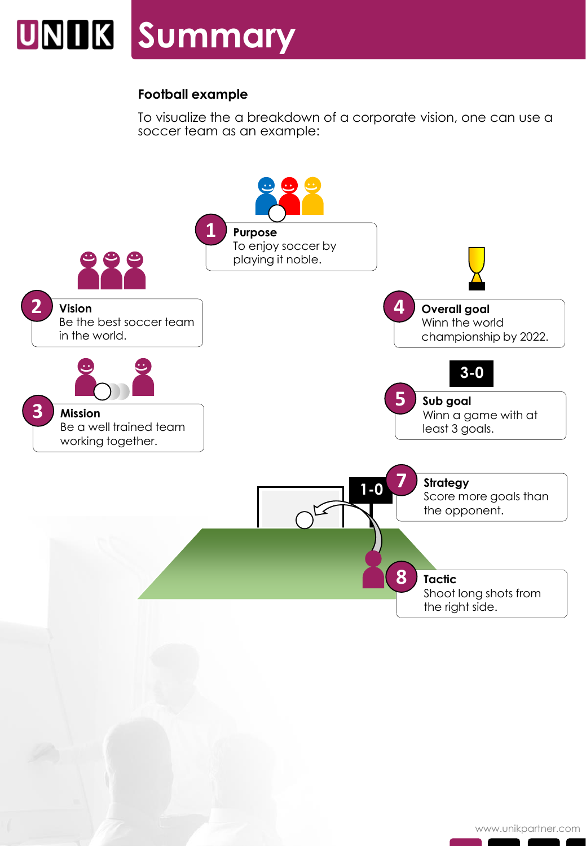## **UNIIK Summary**

#### **Football example**

To visualize the a breakdown of a corporate vision, one can use a soccer team as an example:

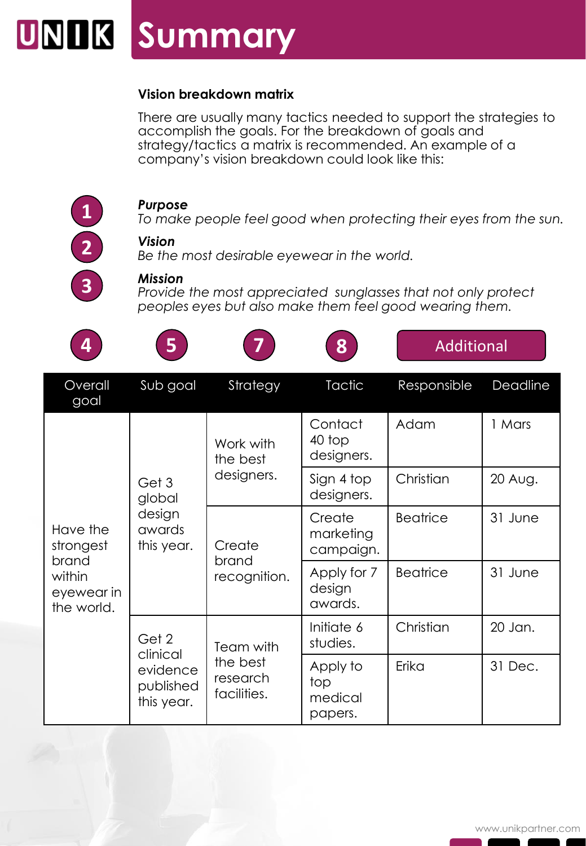### **Summary**

#### **Vision breakdown matrix**

There are usually many tactics needed to support the strategies to accomplish the goals. For the breakdown of goals and strategy/tactics a matrix is recommended. An example of a company's vision breakdown could look like this:



**3**

#### *Purpose*

*To make people feel good when protecting their eyes from the sun.*

#### *Vision*

*Be the most desirable eyewear in the world.*

#### *Mission*

*Provide the most appreciated sunglasses that not only protect peoples eyes but also make them feel good wearing them.*

| 4                                                                    | 5                                                        |                                                  | 8                                     | <b>Additional</b> |          |
|----------------------------------------------------------------------|----------------------------------------------------------|--------------------------------------------------|---------------------------------------|-------------------|----------|
| Overall<br>goal                                                      | Sub goal                                                 | Strategy                                         | <b>Tactic</b>                         | Responsible       | Deadline |
| Have the<br>strongest<br>brand<br>within<br>eyewear in<br>the world. | Get 3<br>global<br>design<br>awards<br>this year.        | Work with<br>the best<br>designers.              | Contact<br>40 top<br>designers.       | Adam              | 1 Mars   |
|                                                                      |                                                          |                                                  | Sign 4 top<br>designers.              | Christian         | 20 Aug.  |
|                                                                      |                                                          | Create<br>brand<br>recognition.                  | Create<br>marketing<br>campaign.      | <b>Beatrice</b>   | 31 June  |
|                                                                      |                                                          |                                                  | Apply for 7<br>design<br>awards.      | <b>Beatrice</b>   | 31 June  |
|                                                                      | Get 2<br>clinical<br>evidence<br>published<br>this year. | Team with<br>the best<br>research<br>facilities. | Initiate 6<br>studies.                | Christian         | 20 Jan.  |
|                                                                      |                                                          |                                                  | Apply to<br>top<br>medical<br>papers. | Erika             | 31 Dec.  |